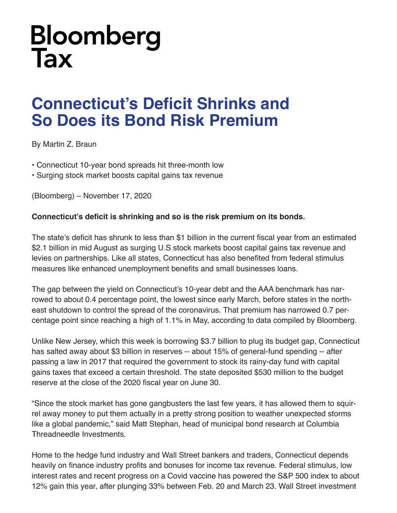## **Bloomberg Tax**

## **Connecticut's Deficit Shrinks and So Does its Bond Risk Premium**

By Martin Z. Braun

- Connecticut 10-year bond spreads hit three-month low
- Surging stock market boosts capital gains tax revenue

(Bloomberg) – November 17, 2020

## **Connecticut's deficit is shrinking and so is the risk premium on its bonds.**

The state's deficit has shrunk to less than \$1 billion in the current fiscal year from an estimated \$2.1 billion in mid August as surging U.S stock markets boost capital gains tax revenue and levies on partnerships. Like all states, Connecticut has also benefited from federal stimulus measures like enhanced unemployment benefits and small businesses loans.

The gap between the yield on Connecticut's 10-year debt and the AAA benchmark has narrowed to about 0.4 percentage point, the lowest since early March, before states in the northeast shutdown to control the spread of the coronavirus. That premium has narrowed 0.7 percentage point since reaching a high of 1.1% in May, according to data compiled by Bloomberg.

Unlike New Jersey, which this week is borrowing \$3.7 billion to plug its budget gap, Connecticut has salted away about \$3 billion in reserves -- about 15% of general-fund spending -- after passing a law in 2017 that required the government to stock its rainy-day fund with capital gains taxes that exceed a certain threshold. The state deposited \$530 million to the budget reserve at the close of the 2020 fiscal year on June 30.

"Since the stock market has gone gangbusters the last few years, it has allowed them to squirrel away money to put them actually in a pretty strong position to weather unexpected storms like a global pandemic," said Matt Stephan, head of municipal bond research at Columbia Threadneedle Investments.

Home to the hedge fund industry and Wall Street bankers and traders, Connecticut depends heavily on finance industry profits and bonuses for income tax revenue. Federal stimulus, low interest rates and recent progress on a Covid vaccine has powered the S&P 500 index to about 12% gain this year, after plunging 33% between Feb. 20 and March 23. Wall Street investment